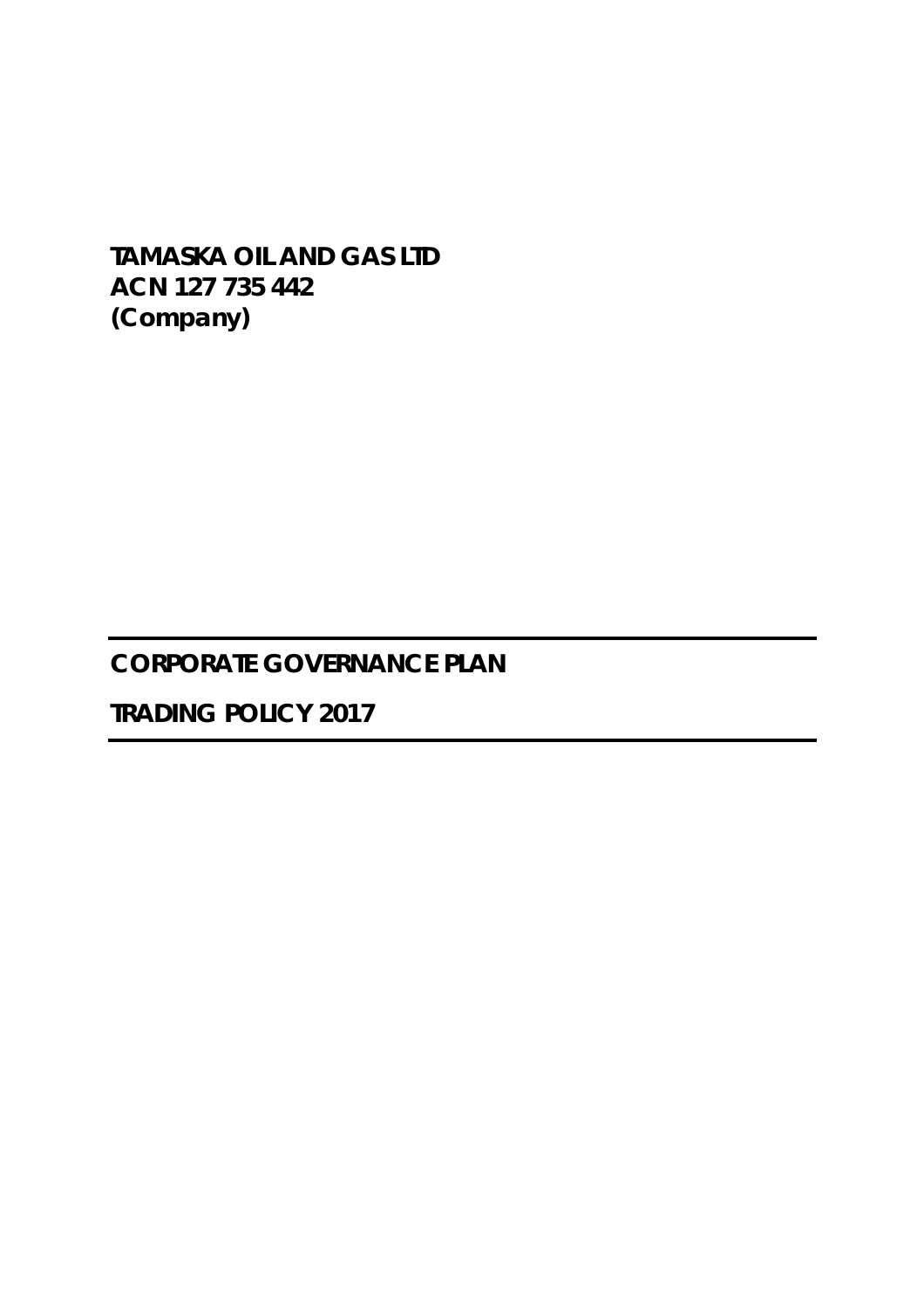**TAMASKA OIL AND GAS LTD ACN 127 735 442 (Company)** 

# **CORPORATE GOVERNANCE PLAN**

**TRADING POLICY 2017**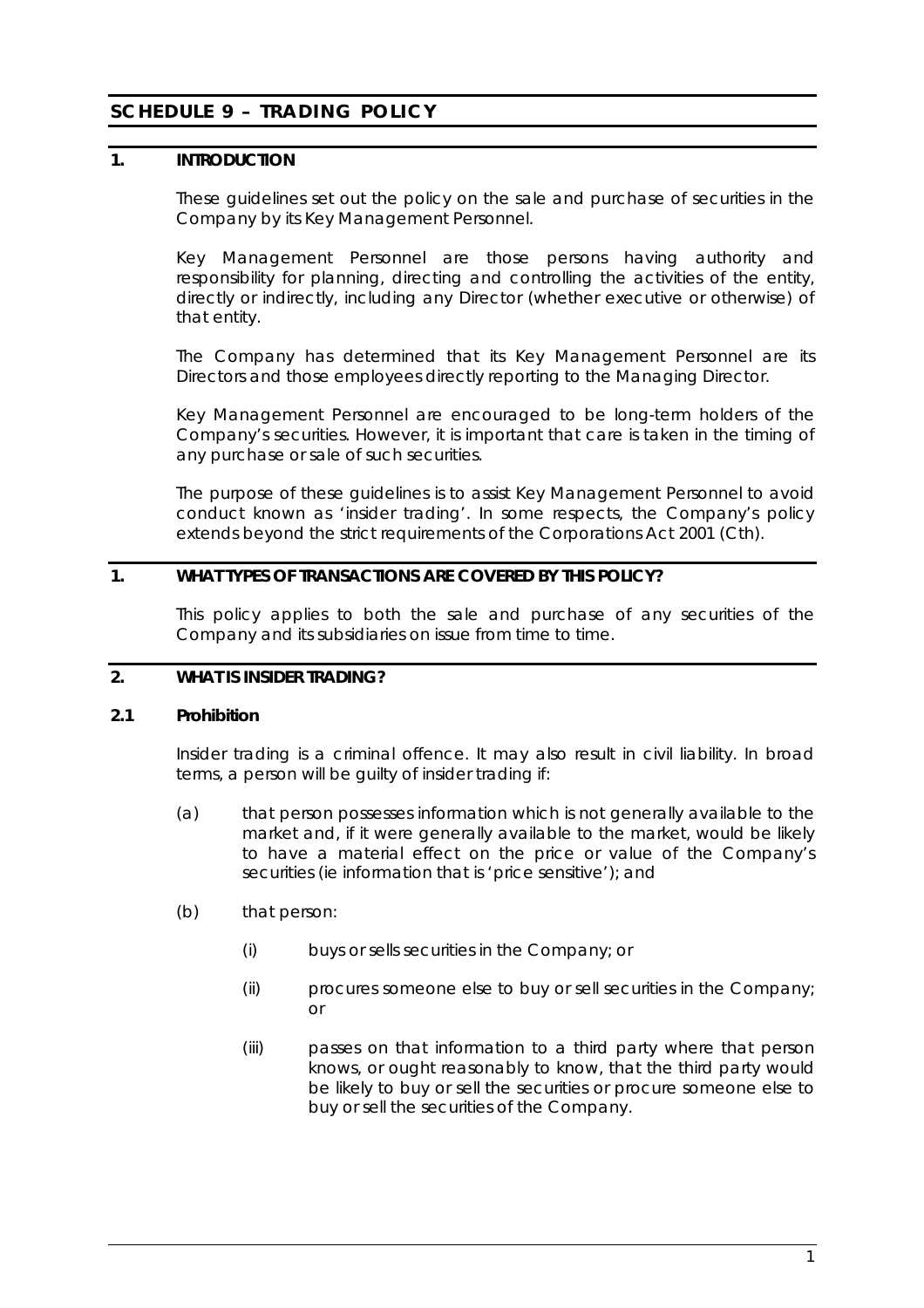# **SCHEDULE 9 – TRADING POLICY**

## **1. INTRODUCTION**

These guidelines set out the policy on the sale and purchase of securities in the Company by its Key Management Personnel.

Key Management Personnel are those persons having authority and responsibility for planning, directing and controlling the activities of the entity, directly or indirectly, including any Director (whether executive or otherwise) of that entity.

The Company has determined that its Key Management Personnel are its Directors and those employees directly reporting to the Managing Director.

Key Management Personnel are encouraged to be long-term holders of the Company's securities. However, it is important that care is taken in the timing of any purchase or sale of such securities.

The purpose of these guidelines is to assist Key Management Personnel to avoid conduct known as 'insider trading'. In some respects, the Company's policy extends beyond the strict requirements of the *Corporations Act 2001* (Cth).

## **1. WHAT TYPES OF TRANSACTIONS ARE COVERED BY THIS POLICY?**

This policy applies to both the sale and purchase of any securities of the Company and its subsidiaries on issue from time to time.

## **2. WHAT IS INSIDER TRADING?**

#### **2.1 Prohibition**

Insider trading is a criminal offence. It may also result in civil liability. In broad terms, a person will be guilty of insider trading if:

- (a) that person possesses information which is not generally available to the market and, if it were generally available to the market, would be likely to have a material effect on the price or value of the Company's securities (ie information that is 'price sensitive'); and
- (b) that person:
	- (i) buys or sells securities in the Company; or
	- (ii) procures someone else to buy or sell securities in the Company; or
	- (iii) passes on that information to a third party where that person knows, or ought reasonably to know, that the third party would be likely to buy or sell the securities or procure someone else to buy or sell the securities of the Company.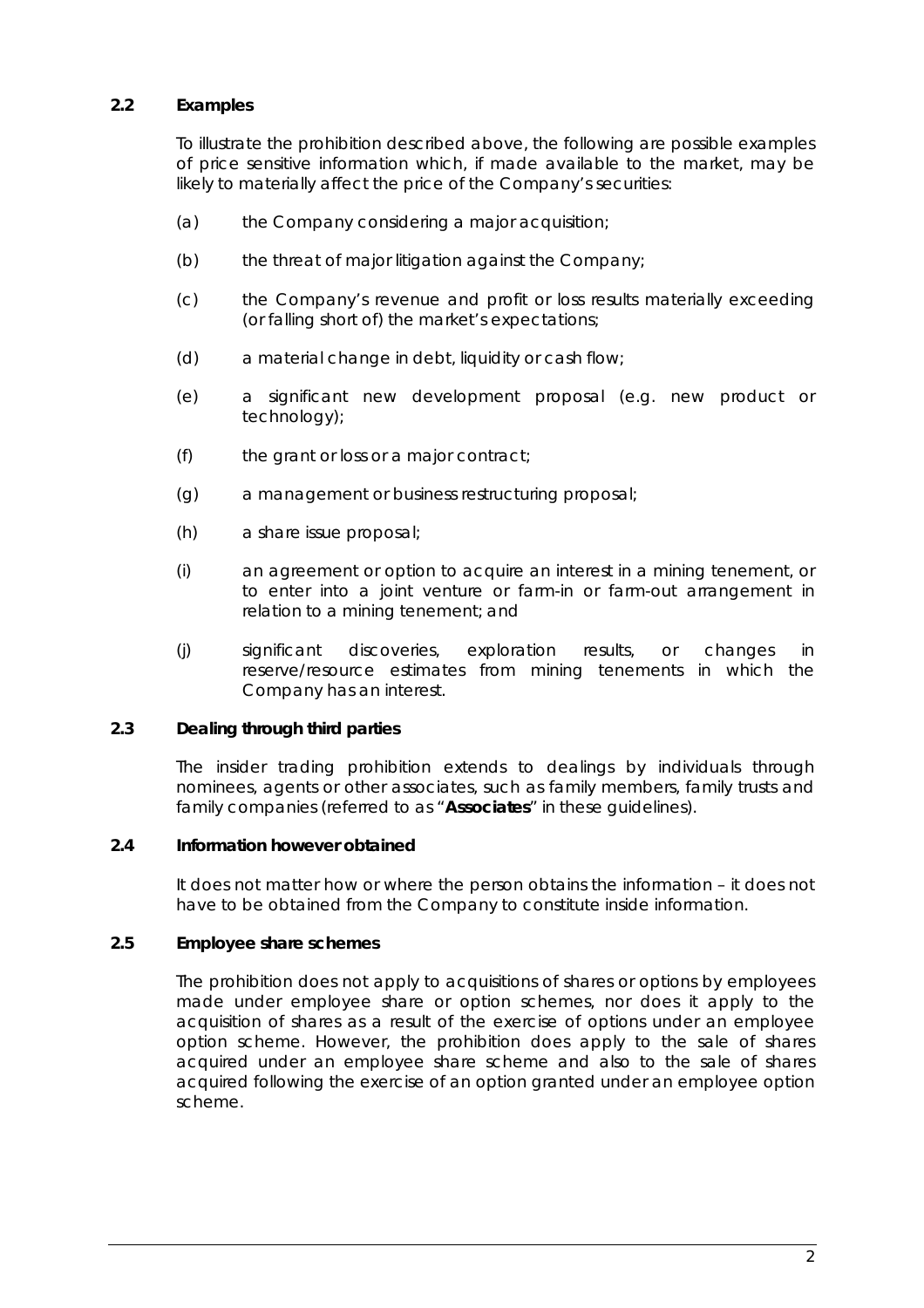## **2.2 Examples**

To illustrate the prohibition described above, the following are possible examples of price sensitive information which, if made available to the market, may be likely to materially affect the price of the Company's securities:

- (a) the Company considering a major acquisition;
- (b) the threat of major litigation against the Company;
- (c) the Company's revenue and profit or loss results materially exceeding (or falling short of) the market's expectations;
- (d) a material change in debt, liquidity or cash flow;
- (e) a significant new development proposal (e.g. new product or technology);
- (f) the grant or loss or a major contract;
- (g) a management or business restructuring proposal;
- (h) a share issue proposal;
- (i) an agreement or option to acquire an interest in a mining tenement, or to enter into a joint venture or farm-in or farm-out arrangement in relation to a mining tenement; and
- (j) significant discoveries, exploration results, or changes in reserve/resource estimates from mining tenements in which the Company has an interest.

#### **2.3 Dealing through third parties**

The insider trading prohibition extends to dealings by individuals through nominees, agents or other associates, such as family members, family trusts and family companies (referred to as "**Associates**" in these guidelines).

#### **2.4 Information however obtained**

It does not matter how or where the person obtains the information – it does not have to be obtained from the Company to constitute inside information.

#### **2.5 Employee share schemes**

The prohibition does not apply to acquisitions of shares or options by employees made under employee share or option schemes, nor does it apply to the acquisition of shares as a result of the exercise of options under an employee option scheme. However, the prohibition does apply to the sale of shares acquired under an employee share scheme and also to the sale of shares acquired following the exercise of an option granted under an employee option scheme.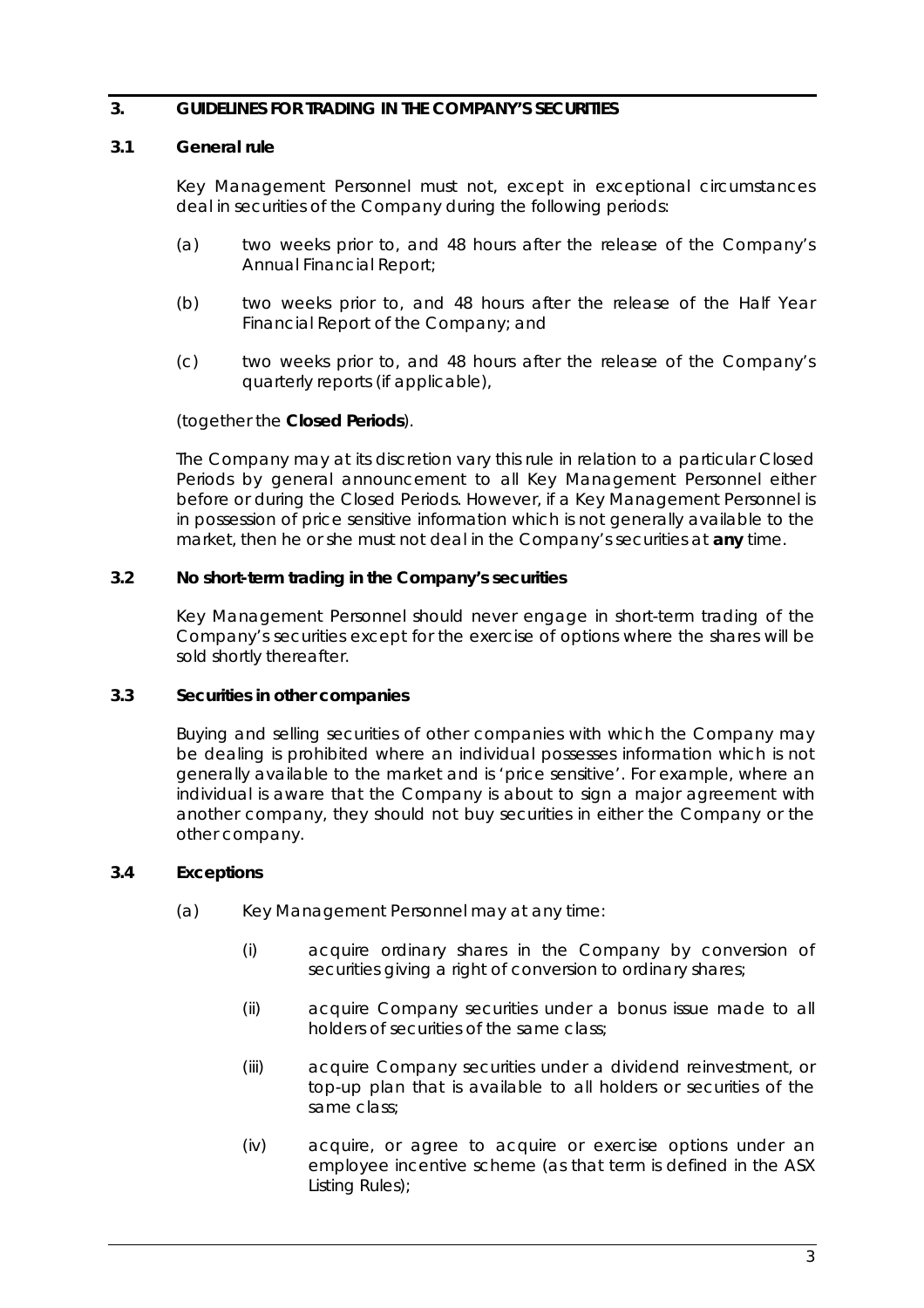## **3. GUIDELINES FOR TRADING IN THE COMPANY'S SECURITIES**

#### **3.1 General rule**

Key Management Personnel must not, except in exceptional circumstances deal in securities of the Company during the following periods:

- (a) two weeks prior to, and 48 hours after the release of the Company's Annual Financial Report;
- (b) two weeks prior to, and 48 hours after the release of the Half Year Financial Report of the Company; and
- (c) two weeks prior to, and 48 hours after the release of the Company's quarterly reports (if applicable),

#### (together the **Closed Periods**).

The Company may at its discretion vary this rule in relation to a particular Closed Periods by general announcement to all Key Management Personnel either before or during the Closed Periods. However, if a Key Management Personnel is in possession of price sensitive information which is not generally available to the market, then he or she must not deal in the Company's securities at **any** time.

#### **3.2 No short-term trading in the Company's securities**

Key Management Personnel should never engage in short-term trading of the Company's securities except for the exercise of options where the shares will be sold shortly thereafter.

## **3.3 Securities in other companies**

Buying and selling securities of other companies with which the Company may be dealing is prohibited where an individual possesses information which is not generally available to the market and is 'price sensitive'. For example, where an individual is aware that the Company is about to sign a major agreement with another company, they should not buy securities in either the Company or the other company.

## **3.4 Exceptions**

- (a) Key Management Personnel may at any time:
	- (i) acquire ordinary shares in the Company by conversion of securities giving a right of conversion to ordinary shares;
	- (ii) acquire Company securities under a bonus issue made to all holders of securities of the same class;
	- (iii) acquire Company securities under a dividend reinvestment, or top-up plan that is available to all holders or securities of the same class;
	- (iv) acquire, or agree to acquire or exercise options under an employee incentive scheme (as that term is defined in the ASX Listing Rules);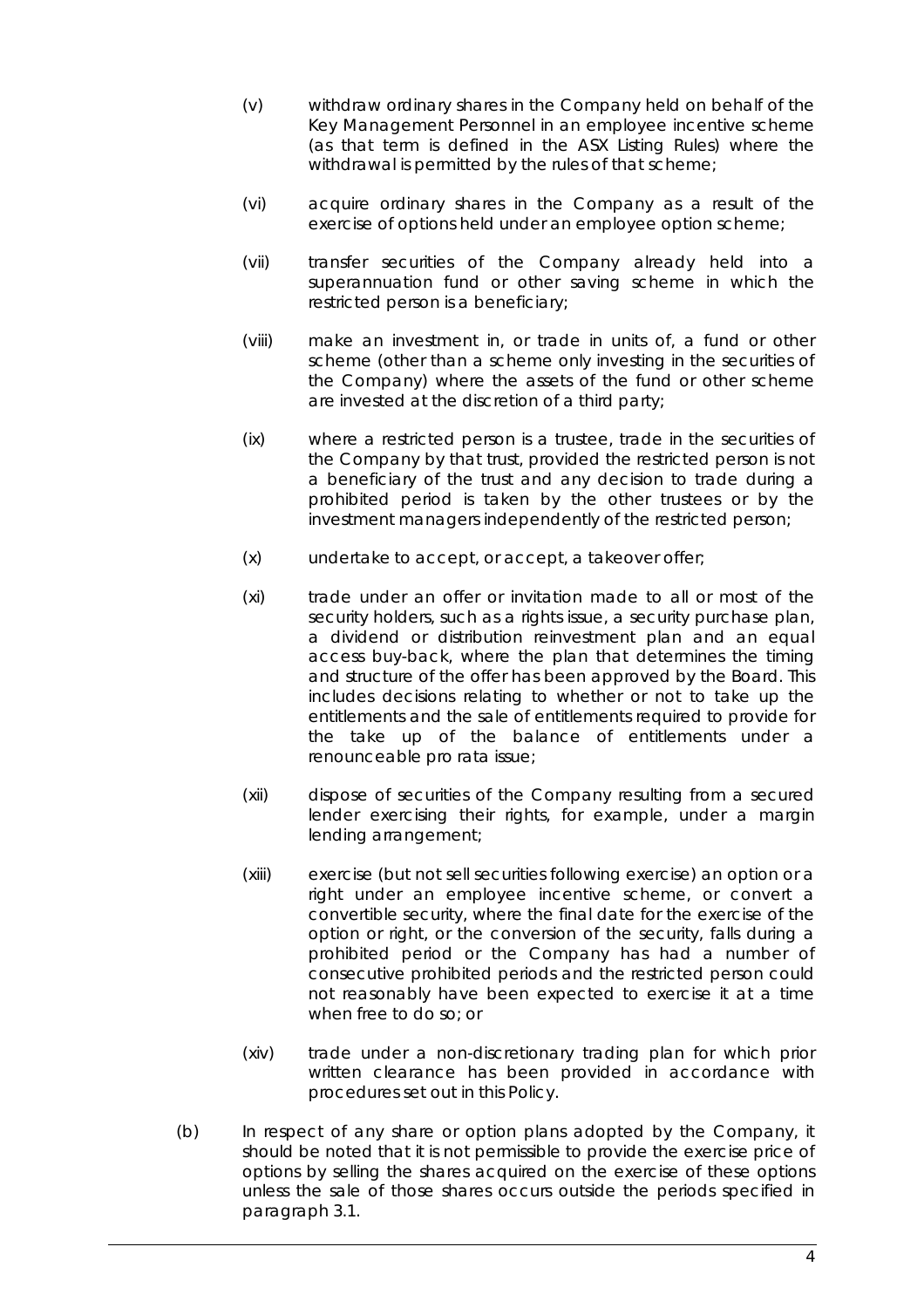- (v) withdraw ordinary shares in the Company held on behalf of the Key Management Personnel in an employee incentive scheme (as that term is defined in the ASX Listing Rules) where the withdrawal is permitted by the rules of that scheme;
- (vi) acquire ordinary shares in the Company as a result of the exercise of options held under an employee option scheme;
- (vii) transfer securities of the Company already held into a superannuation fund or other saving scheme in which the restricted person is a beneficiary;
- (viii) make an investment in, or trade in units of, a fund or other scheme (other than a scheme only investing in the securities of the Company) where the assets of the fund or other scheme are invested at the discretion of a third party;
- (ix) where a restricted person is a trustee, trade in the securities of the Company by that trust, provided the restricted person is not a beneficiary of the trust and any decision to trade during a prohibited period is taken by the other trustees or by the investment managers independently of the restricted person;
- (x) undertake to accept, or accept, a takeover offer;
- (xi) trade under an offer or invitation made to all or most of the security holders, such as a rights issue, a security purchase plan, a dividend or distribution reinvestment plan and an equal access buy-back, where the plan that determines the timing and structure of the offer has been approved by the Board. This includes decisions relating to whether or not to take up the entitlements and the sale of entitlements required to provide for the take up of the balance of entitlements under a renounceable pro rata issue;
- (xii) dispose of securities of the Company resulting from a secured lender exercising their rights, for example, under a margin lending arrangement;
- (xiii) exercise (but not sell securities following exercise) an option or a right under an employee incentive scheme, or convert a convertible security, where the final date for the exercise of the option or right, or the conversion of the security, falls during a prohibited period or the Company has had a number of consecutive prohibited periods and the restricted person could not reasonably have been expected to exercise it at a time when free to do so; or
- (xiv) trade under a non-discretionary trading plan for which prior written clearance has been provided in accordance with procedures set out in this Policy.
- (b) In respect of any share or option plans adopted by the Company, it should be noted that it is not permissible to provide the exercise price of options by selling the shares acquired on the exercise of these options unless the sale of those shares occurs outside the periods specified in paragraph 3.1.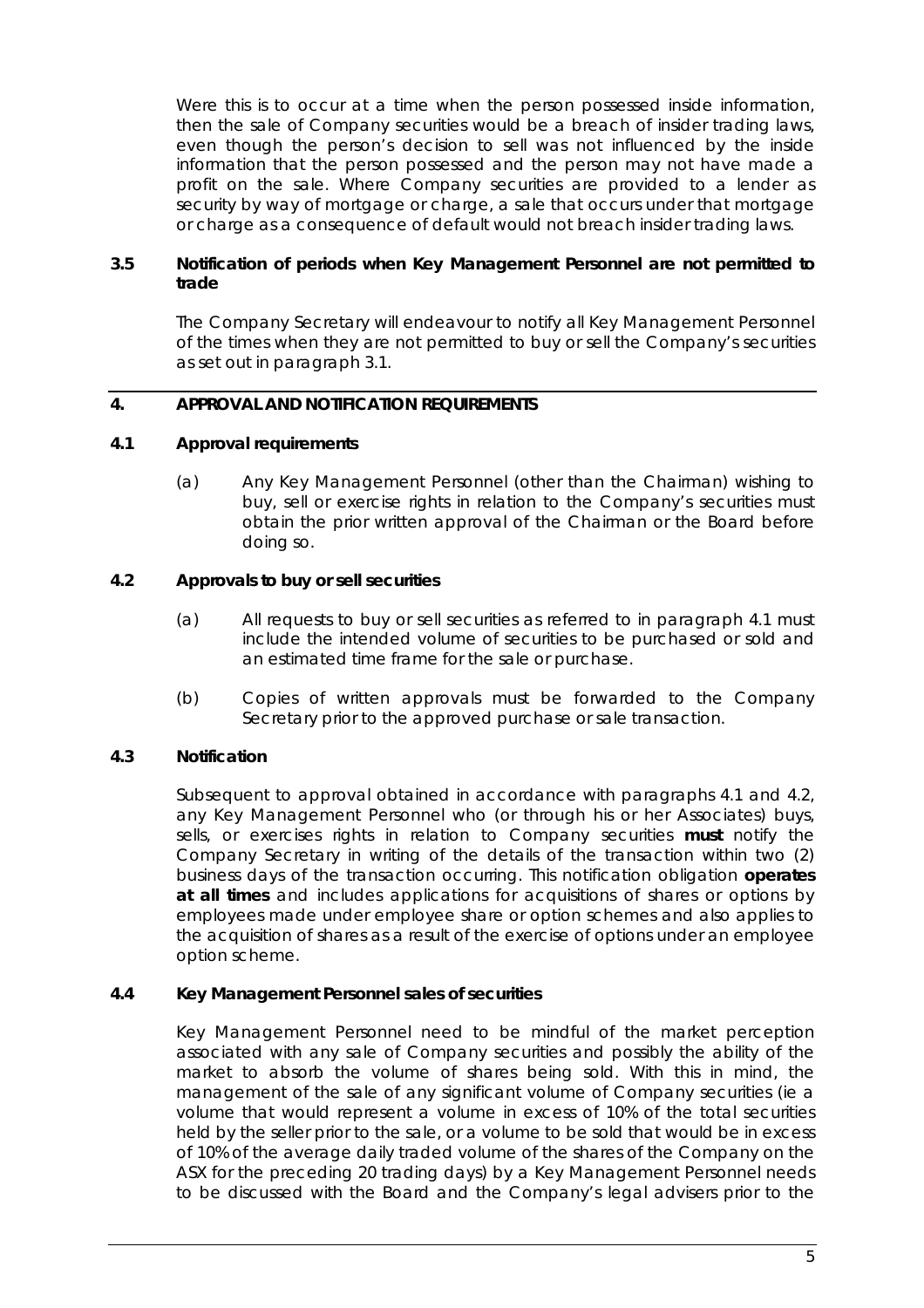Were this is to occur at a time when the person possessed inside information, then the sale of Company securities would be a breach of insider trading laws, even though the person's decision to sell was not influenced by the inside information that the person possessed and the person may not have made a profit on the sale. Where Company securities are provided to a lender as security by way of mortgage or charge, a sale that occurs under that mortgage or charge as a consequence of default would not breach insider trading laws.

## **3.5 Notification of periods when Key Management Personnel are not permitted to trade**

The Company Secretary will endeavour to notify all Key Management Personnel of the times when they are not permitted to buy or sell the Company's securities as set out in paragraph 3.1.

## **4. APPROVAL AND NOTIFICATION REQUIREMENTS**

#### **4.1 Approval requirements**

(a) Any Key Management Personnel (other than the Chairman) wishing to buy, sell or exercise rights in relation to the Company's securities must obtain the prior written approval of the Chairman or the Board before doing so.

## **4.2 Approvals to buy or sell securities**

- (a) All requests to buy or sell securities as referred to in paragraph 4.1 must include the intended volume of securities to be purchased or sold and an estimated time frame for the sale or purchase.
- (b) Copies of written approvals must be forwarded to the Company Secretary prior to the approved purchase or sale transaction.

## **4.3 Notification**

Subsequent to approval obtained in accordance with paragraphs 4.1 and 4.2, any Key Management Personnel who (or through his or her Associates) buys, sells, or exercises rights in relation to Company securities **must** notify the Company Secretary in writing of the details of the transaction within two (2) business days of the transaction occurring. This notification obligation **operates at all times** and includes applications for acquisitions of shares or options by employees made under employee share or option schemes and also applies to the acquisition of shares as a result of the exercise of options under an employee option scheme.

#### **4.4 Key Management Personnel sales of securities**

Key Management Personnel need to be mindful of the market perception associated with any sale of Company securities and possibly the ability of the market to absorb the volume of shares being sold. With this in mind, the management of the sale of any significant volume of Company securities (ie a volume that would represent a volume in excess of 10% of the total securities held by the seller prior to the sale, or a volume to be sold that would be in excess of 10% of the average daily traded volume of the shares of the Company on the ASX for the preceding 20 trading days) by a Key Management Personnel needs to be discussed with the Board and the Company's legal advisers prior to the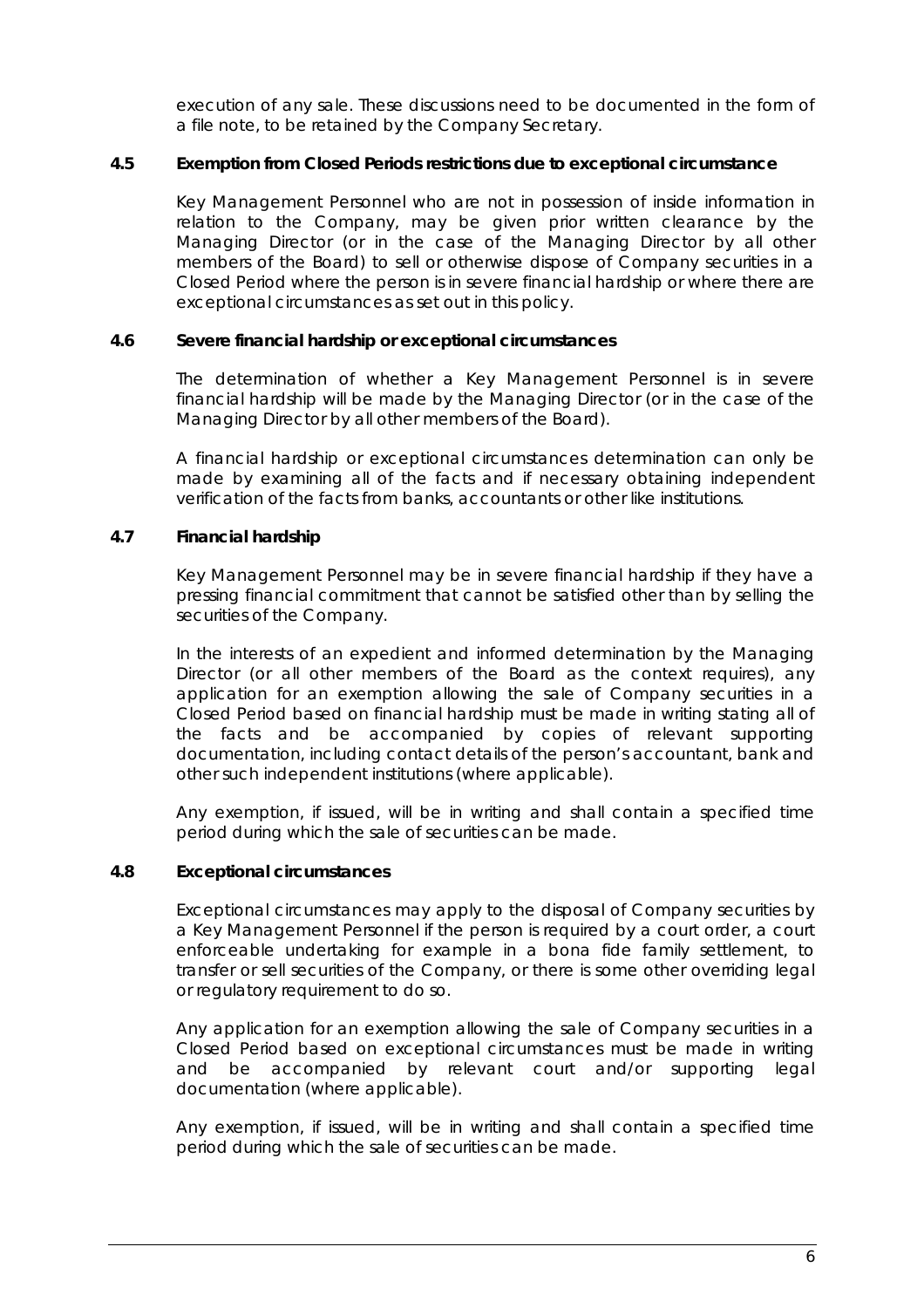execution of any sale. These discussions need to be documented in the form of a file note, to be retained by the Company Secretary.

#### **4.5 Exemption from Closed Periods restrictions due to exceptional circumstance**

Key Management Personnel who are not in possession of inside information in relation to the Company, may be given prior written clearance by the Managing Director (or in the case of the Managing Director by all other members of the Board) to sell or otherwise dispose of Company securities in a Closed Period where the person is in severe financial hardship or where there are exceptional circumstances as set out in this policy.

#### **4.6 Severe financial hardship or exceptional circumstances**

The determination of whether a Key Management Personnel is in severe financial hardship will be made by the Managing Director (or in the case of the Managing Director by all other members of the Board).

A financial hardship or exceptional circumstances determination can only be made by examining all of the facts and if necessary obtaining independent verification of the facts from banks, accountants or other like institutions.

## **4.7 Financial hardship**

Key Management Personnel may be in severe financial hardship if they have a pressing financial commitment that cannot be satisfied other than by selling the securities of the Company.

In the interests of an expedient and informed determination by the Managing Director (or all other members of the Board as the context requires), any application for an exemption allowing the sale of Company securities in a Closed Period based on financial hardship must be made in writing stating all of the facts and be accompanied by copies of relevant supporting documentation, including contact details of the person's accountant, bank and other such independent institutions (where applicable).

Any exemption, if issued, will be in writing and shall contain a specified time period during which the sale of securities can be made.

## **4.8 Exceptional circumstances**

Exceptional circumstances may apply to the disposal of Company securities by a Key Management Personnel if the person is required by a court order, a court enforceable undertaking for example in a bona fide family settlement, to transfer or sell securities of the Company, or there is some other overriding legal or regulatory requirement to do so.

Any application for an exemption allowing the sale of Company securities in a Closed Period based on exceptional circumstances must be made in writing and be accompanied by relevant court and/or supporting legal documentation (where applicable).

Any exemption, if issued, will be in writing and shall contain a specified time period during which the sale of securities can be made.